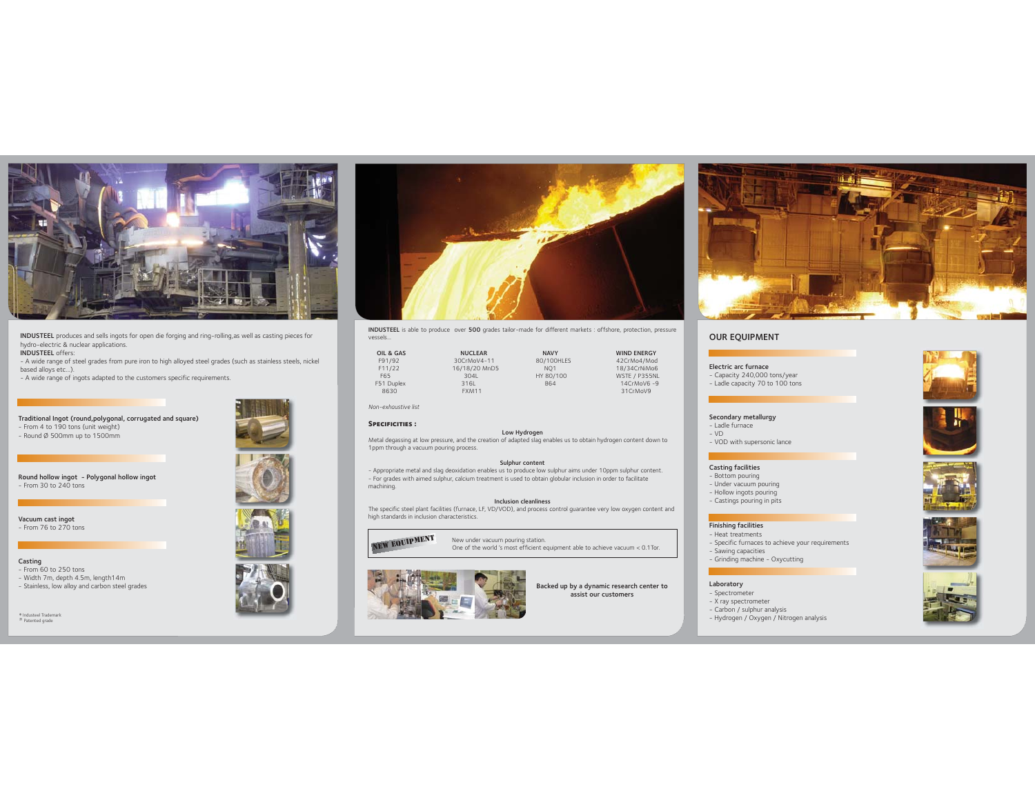

INDUSTEEL produces and sells ingots for open die forging and ring-rolling,as well as casting pieces for hydro-electric & nuclear applications. INDUSTEEL offers:

- A wide range of steel grades from pure iron to high alloyed steel grades (such as stainless steels, nickel based alloys etc...).

- A wide range of ingots adapted to the customers specific requirements.

# Traditional Ingot (round,polygonal, corrugated and square) - From 4 to 190 tons (unit weight) - Round Ø 500mm up to 1500mm

Round hollow ingot - Polygonal hollow ingot - From 30 to 240 tons

Vacuum cast ingot - From 76 to 270 tons

#### Casting - From 60 to 250 tons

- Width 7m, depth 4.5m, length14m - Stainless, low alloy and carbon steel grades

® Industeel Trademark Patented grade



INDUSTEEL is able to produce over 500 grades tailor-made for different markets : offshore, protection, pressure vessels...

| OIL & GAS  | <b>NUCLEAR</b> | <b>NAVY</b>     | <b>WIND ENERGY</b> |
|------------|----------------|-----------------|--------------------|
| F91/92     | 30CrMoV4-11    | 80/100HLES      | 42CrMo4/Mod        |
| F11/22     | 16/18/20 MnD5  | NO <sub>1</sub> | 18/34CrNiMo6       |
| F65        | 3041           | HY 80/100       | WSTE / P355NL      |
| F51 Duplex | 316L           | <b>B64</b>      | 14CrMoV6-9         |
| 8630       | FXM11          |                 | 31CrMoV9           |

*Non-exhaustive list*

## SPECIFICITIES :

Low Hydrogen<br>Metal degassing at low pressure, and the creation of adapted slag enables us to obtain hydrogen content down to

## 1ppm through a vacuum pouring process.

#### Sulphur content

- Appropriate metal and slag deoxidation enables us to produce low sulphur aims under 10ppm sulphur content. - For grades with aimed sulphur, calcium treatment is used to obtain globular inclusion in order to facilitate machining.

#### Inclusion cleanliness

 The specific steel plant facilities (furnace, LF, VD/VOD), and process control guarantee very low oxygen content and high standards in inclusion characteristics.



New under vacuum pouring station. NEW EQUIPMENT New under vacuum pouring station.<br>One of the world 's most efficient equipment able to achieve vacuum < 0.1 Tor.



Backed up by a dynamic research center to assist our customers



## OUR EQUIPMENT

Electric arc furnace - Capacity 240,000 tons/year - Ladle capacity 70 to 100 tons



# Secondary metallurgy

- Ladle furnace  $-$  VD
- VOD with supersonic lance

#### Casting facilities

- Bottom pouring
- Under vacuum pouring - Hollow ingots pouring
- Castings pouring in pits
- 

## Finishing facilities

- Heat treatments Specific furnaces to achieve your requirements
- 
- Sawing capacities Grinding machine Oxycutting

# Laboratory

- Spectrometer
- X ray spectrometer
- Carbon / sulphur analysis
- Hydrogen / Oxygen / Nitrogen analysis